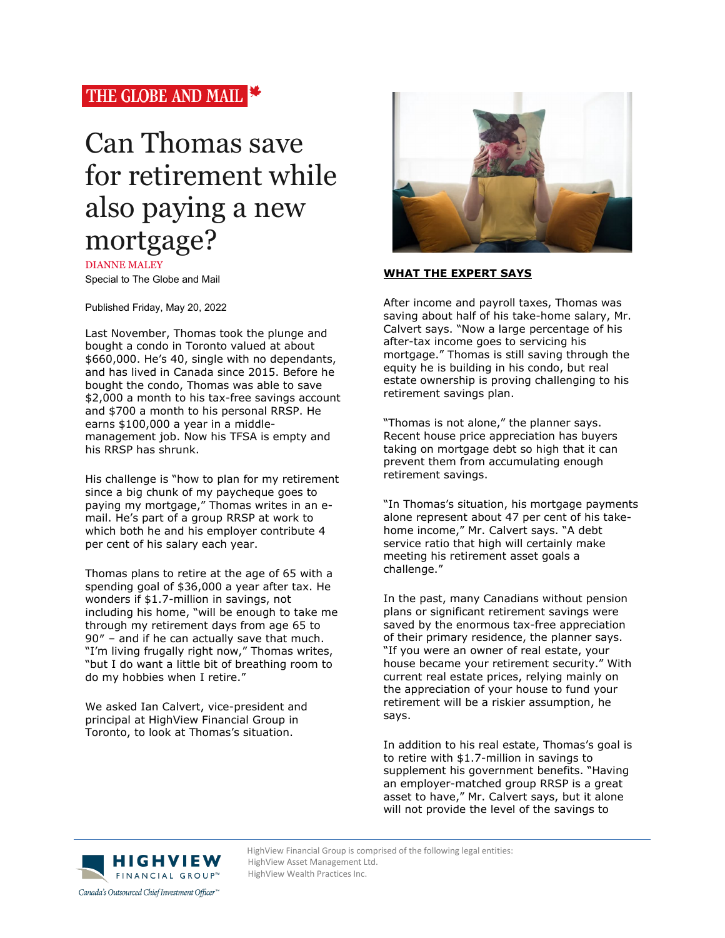# THE GLOBE AND MAIL

# Can Thomas save for retirement while also paying a new mortgage?

DIANNE MALEY Special to The Globe and Mail

Published Friday, May 20, 2022

Last November, Thomas took the plunge and bought a condo in Toronto valued at about \$660,000. He's 40, single with no dependants, and has lived in Canada since 2015. Before he bought the condo, Thomas was able to save \$2,000 a month to his tax-free savings account and \$700 a month to his personal RRSP. He earns \$100,000 a year in a middlemanagement job. Now his TFSA is empty and his RRSP has shrunk.

His challenge is "how to plan for my retirement since a big chunk of my paycheque goes to paying my mortgage," Thomas writes in an email. He's part of a group RRSP at work to which both he and his employer contribute 4 per cent of his salary each year.

Thomas plans to retire at the age of 65 with a spending goal of \$36,000 a year after tax. He wonders if \$1.7-million in savings, not including his home, "will be enough to take me through my retirement days from age 65 to 90″ – and if he can actually save that much. "I'm living frugally right now," Thomas writes, "but I do want a little bit of breathing room to do my hobbies when I retire."

We asked Ian Calvert, vice-president and principal at HighView Financial Group in Toronto, to look at Thomas's situation.



## **WHAT THE EXPERT SAYS**

After income and payroll taxes, Thomas was saving about half of his take-home salary, Mr. Calvert says. "Now a large percentage of his after-tax income goes to servicing his mortgage." Thomas is still saving through the equity he is building in his condo, but real estate ownership is proving challenging to his retirement savings plan.

"Thomas is not alone," the planner says. Recent house price appreciation has buyers taking on mortgage debt so high that it can prevent them from accumulating enough retirement savings.

"In Thomas's situation, his mortgage payments alone represent about 47 per cent of his takehome income," Mr. Calvert says. "A debt service ratio that high will certainly make meeting his retirement asset goals a challenge."

In the past, many Canadians without pension plans or significant retirement savings were saved by the enormous tax-free appreciation of their primary residence, the planner says. "If you were an owner of real estate, your house became your retirement security." With current real estate prices, relying mainly on the appreciation of your house to fund your retirement will be a riskier assumption, he says.

In addition to his real estate, Thomas's goal is to retire with \$1.7-million in savings to supplement his government benefits. "Having an employer-matched group RRSP is a great asset to have," Mr. Calvert says, but it alone will not provide the level of the savings to



HighView Financial Group is comprised of the following legal entities:<br>
HighView Asset Management Ltd. HighView Asset Management Ltd.

HighView Wealth Practices Inc.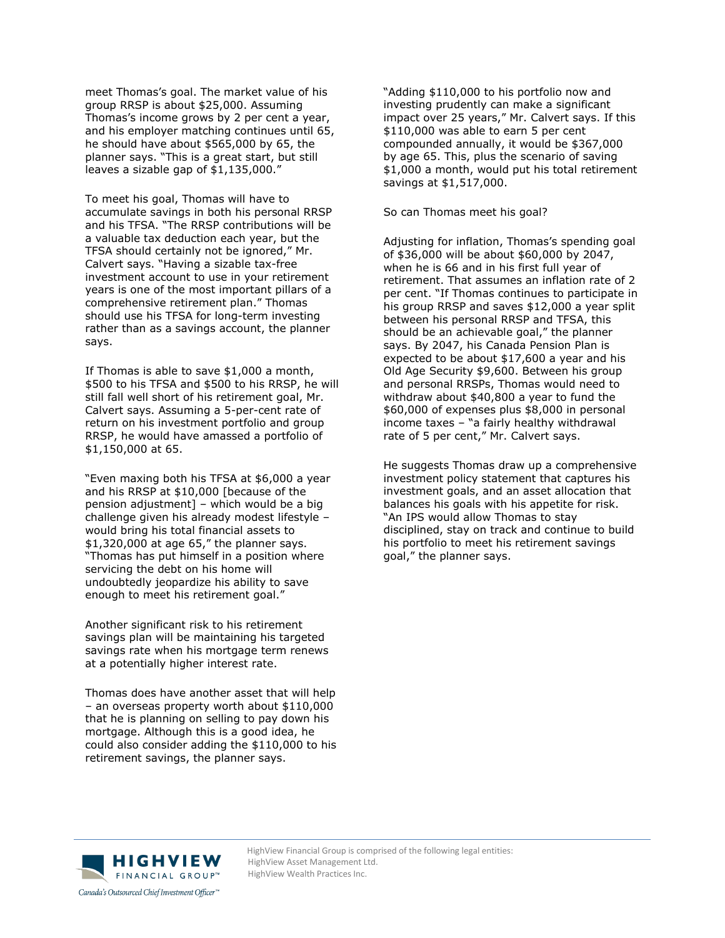meet Thomas's goal. The market value of his group RRSP is about \$25,000. Assuming Thomas's income grows by 2 per cent a year, and his employer matching continues until 65, he should have about \$565,000 by 65, the planner says. "This is a great start, but still leaves a sizable gap of \$1,135,000."

To meet his goal, Thomas will have to accumulate savings in both his personal RRSP and his TFSA. "The RRSP contributions will be a valuable tax deduction each year, but the TFSA should certainly not be ignored," Mr. Calvert says. "Having a sizable tax-free investment account to use in your retirement years is one of the most important pillars of a comprehensive retirement plan." Thomas should use his TFSA for long-term investing rather than as a savings account, the planner says.

If Thomas is able to save \$1,000 a month, \$500 to his TFSA and \$500 to his RRSP, he will still fall well short of his retirement goal, Mr. Calvert says. Assuming a 5-per-cent rate of return on his investment portfolio and group RRSP, he would have amassed a portfolio of \$1,150,000 at 65.

"Even maxing both his TFSA at \$6,000 a year and his RRSP at \$10,000 [because of the pension adjustment] – which would be a big challenge given his already modest lifestyle – would bring his total financial assets to \$1,320,000 at age 65," the planner says. "Thomas has put himself in a position where servicing the debt on his home will undoubtedly jeopardize his ability to save enough to meet his retirement goal."

Another significant risk to his retirement savings plan will be maintaining his targeted savings rate when his mortgage term renews at a potentially higher interest rate.

Thomas does have another asset that will help – an overseas property worth about \$110,000 that he is planning on selling to pay down his mortgage. Although this is a good idea, he could also consider adding the \$110,000 to his retirement savings, the planner says.

"Adding \$110,000 to his portfolio now and investing prudently can make a significant impact over 25 years," Mr. Calvert says. If this \$110,000 was able to earn 5 per cent compounded annually, it would be \$367,000 by age 65. This, plus the scenario of saving \$1,000 a month, would put his total retirement savings at \$1,517,000.

#### So can Thomas meet his goal?

Adjusting for inflation, Thomas's spending goal of \$36,000 will be about \$60,000 by 2047, when he is 66 and in his first full year of retirement. That assumes an inflation rate of 2 per cent. "If Thomas continues to participate in his group RRSP and saves \$12,000 a year split between his personal RRSP and TFSA, this should be an achievable goal," the planner says. By 2047, his Canada Pension Plan is expected to be about \$17,600 a year and his Old Age Security \$9,600. Between his group and personal RRSPs, Thomas would need to withdraw about \$40,800 a year to fund the \$60,000 of expenses plus \$8,000 in personal income taxes – "a fairly healthy withdrawal rate of 5 per cent," Mr. Calvert says.

He suggests Thomas draw up a comprehensive investment policy statement that captures his investment goals, and an asset allocation that balances his goals with his appetite for risk. "An IPS would allow Thomas to stay disciplined, stay on track and continue to build his portfolio to meet his retirement savings goal," the planner says.



HighView Financial Group is comprised of the following legal entities:<br>
H | G H V | E W HighView Asset Management Ltd. HighView Asset Management Ltd. HighView Wealth Practices Inc.